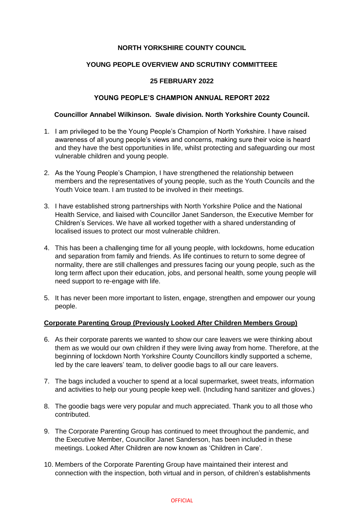### **NORTH YORKSHIRE COUNTY COUNCIL**

# **YOUNG PEOPLE OVERVIEW AND SCRUTINY COMMITTEEE**

### **25 FEBRUARY 2022**

# **YOUNG PEOPLE'S CHAMPION ANNUAL REPORT 2022**

### **Councillor Annabel Wilkinson. Swale division. North Yorkshire County Council.**

- 1. I am privileged to be the Young People's Champion of North Yorkshire. I have raised awareness of all young people's views and concerns, making sure their voice is heard and they have the best opportunities in life, whilst protecting and safeguarding our most vulnerable children and young people.
- 2. As the Young People's Champion, I have strengthened the relationship between members and the representatives of young people, such as the Youth Councils and the Youth Voice team. I am trusted to be involved in their meetings.
- 3. I have established strong partnerships with North Yorkshire Police and the National Health Service, and liaised with Councillor Janet Sanderson, the Executive Member for Children's Services. We have all worked together with a shared understanding of localised issues to protect our most vulnerable children.
- 4. This has been a challenging time for all young people, with lockdowns, home education and separation from family and friends. As life continues to return to some degree of normality, there are still challenges and pressures facing our young people, such as the long term affect upon their education, jobs, and personal health, some young people will need support to re-engage with life.
- 5. It has never been more important to listen, engage, strengthen and empower our young people.

### **Corporate Parenting Group (Previously Looked After Children Members Group)**

- 6. As their corporate parents we wanted to show our care leavers we were thinking about them as we would our own children if they were living away from home. Therefore, at the beginning of lockdown North Yorkshire County Councillors kindly supported a scheme, led by the care leavers' team, to deliver goodie bags to all our care leavers.
- 7. The bags included a voucher to spend at a local supermarket, sweet treats, information and activities to help our young people keep well. (Including hand sanitizer and gloves.)
- 8. The goodie bags were very popular and much appreciated. Thank you to all those who contributed.
- 9. The Corporate Parenting Group has continued to meet throughout the pandemic, and the Executive Member, Councillor Janet Sanderson, has been included in these meetings. Looked After Children are now known as 'Children in Care'.
- 10. Members of the Corporate Parenting Group have maintained their interest and connection with the inspection, both virtual and in person, of children's establishments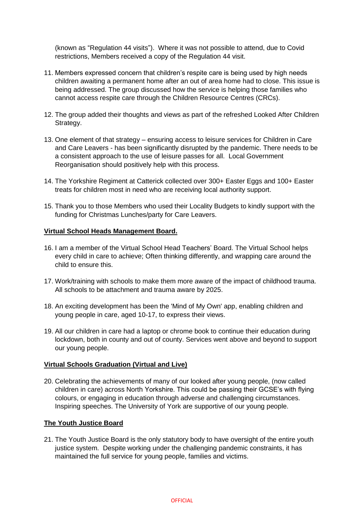(known as "Regulation 44 visits"). Where it was not possible to attend, due to Covid restrictions, Members received a copy of the Regulation 44 visit.

- 11. Members expressed concern that children's respite care is being used by high needs children awaiting a permanent home after an out of area home had to close. This issue is being addressed. The group discussed how the service is helping those families who cannot access respite care through the Children Resource Centres (CRCs).
- 12. The group added their thoughts and views as part of the refreshed Looked After Children Strategy.
- 13. One element of that strategy ensuring access to leisure services for Children in Care and Care Leavers - has been significantly disrupted by the pandemic. There needs to be a consistent approach to the use of leisure passes for all. Local Government Reorganisation should positively help with this process.
- 14. The Yorkshire Regiment at Catterick collected over 300+ Easter Eggs and 100+ Easter treats for children most in need who are receiving local authority support.
- 15. Thank you to those Members who used their Locality Budgets to kindly support with the funding for Christmas Lunches/party for Care Leavers.

#### **Virtual School Heads Management Board.**

- 16. I am a member of the Virtual School Head Teachers' Board. The Virtual School helps every child in care to achieve; Often thinking differently, and wrapping care around the child to ensure this.
- 17. Work/training with schools to make them more aware of the impact of childhood trauma. All schools to be attachment and trauma aware by 2025.
- 18. An exciting development has been the 'Mind of My Own' app, enabling children and young people in care, aged 10-17, to express their views.
- 19. All our children in care had a laptop or chrome book to continue their education during lockdown, both in county and out of county. Services went above and beyond to support our young people.

#### **Virtual Schools Graduation (Virtual and Live)**

20. Celebrating the achievements of many of our looked after young people, (now called children in care) across North Yorkshire. This could be passing their GCSE's with flying colours, or engaging in education through adverse and challenging circumstances. Inspiring speeches. The University of York are supportive of our young people.

#### **The Youth Justice Board**

21. The Youth Justice Board is the only statutory body to have oversight of the entire youth justice system. Despite working under the challenging pandemic constraints, it has maintained the full service for young people, families and victims.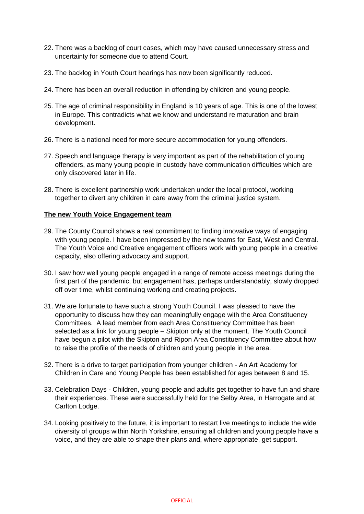- 22. There was a backlog of court cases, which may have caused unnecessary stress and uncertainty for someone due to attend Court.
- 23. The backlog in Youth Court hearings has now been significantly reduced.
- 24. There has been an overall reduction in offending by children and young people.
- 25. The age of criminal responsibility in England is 10 years of age. This is one of the lowest in Europe. This contradicts what we know and understand re maturation and brain development.
- 26. There is a national need for more secure accommodation for young offenders.
- 27. Speech and language therapy is very important as part of the rehabilitation of young offenders, as many young people in custody have communication difficulties which are only discovered later in life.
- 28. There is excellent partnership work undertaken under the local protocol, working together to divert any children in care away from the criminal justice system.

#### **The new Youth Voice Engagement team**

- 29. The County Council shows a real commitment to finding innovative ways of engaging with young people. I have been impressed by the new teams for East, West and Central. The Youth Voice and Creative engagement officers work with young people in a creative capacity, also offering advocacy and support.
- 30. I saw how well young people engaged in a range of remote access meetings during the first part of the pandemic, but engagement has, perhaps understandably, slowly dropped off over time, whilst continuing working and creating projects.
- 31. We are fortunate to have such a strong Youth Council. I was pleased to have the opportunity to discuss how they can meaningfully engage with the Area Constituency Committees. A lead member from each Area Constituency Committee has been selected as a link for young people – Skipton only at the moment. The Youth Council have begun a pilot with the Skipton and Ripon Area Constituency Committee about how to raise the profile of the needs of children and young people in the area.
- 32. There is a drive to target participation from younger children An Art Academy for Children in Care and Young People has been established for ages between 8 and 15.
- 33. Celebration Days Children, young people and adults get together to have fun and share their experiences. These were successfully held for the Selby Area, in Harrogate and at Carlton Lodge.
- 34. Looking positively to the future, it is important to restart live meetings to include the wide diversity of groups within North Yorkshire, ensuring all children and young people have a voice, and they are able to shape their plans and, where appropriate, get support.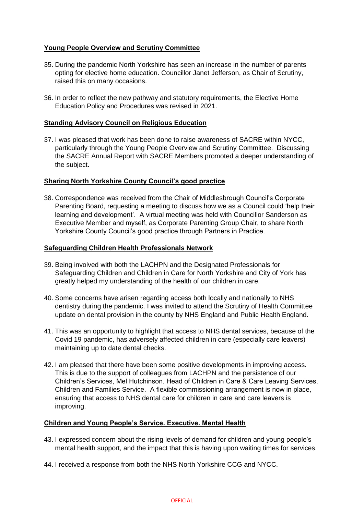# **Young People Overview and Scrutiny Committee**

- 35. During the pandemic North Yorkshire has seen an increase in the number of parents opting for elective home education. Councillor Janet Jefferson, as Chair of Scrutiny, raised this on many occasions.
- 36. In order to reflect the new pathway and statutory requirements, the Elective Home Education Policy and Procedures was revised in 2021.

### **Standing Advisory Council on Religious Education**

37. I was pleased that work has been done to raise awareness of SACRE within NYCC, particularly through the Young People Overview and Scrutiny Committee. Discussing the SACRE Annual Report with SACRE Members promoted a deeper understanding of the subject.

#### **Sharing North Yorkshire County Council's good practice**

38. Correspondence was received from the Chair of Middlesbrough Council's Corporate Parenting Board, requesting a meeting to discuss how we as a Council could 'help their learning and development'. A virtual meeting was held with Councillor Sanderson as Executive Member and myself, as Corporate Parenting Group Chair, to share North Yorkshire County Council's good practice through Partners in Practice.

#### **Safeguarding Children Health Professionals Network**

- 39. Being involved with both the LACHPN and the Designated Professionals for Safeguarding Children and Children in Care for North Yorkshire and City of York has greatly helped my understanding of the health of our children in care.
- 40. Some concerns have arisen regarding access both locally and nationally to NHS dentistry during the pandemic. I was invited to attend the Scrutiny of Health Committee update on dental provision in the county by NHS England and Public Health England.
- 41. This was an opportunity to highlight that access to NHS dental services, because of the Covid 19 pandemic, has adversely affected children in care (especially care leavers) maintaining up to date dental checks.
- 42. I am pleased that there have been some positive developments in improving access. This is due to the support of colleagues from LACHPN and the persistence of our Children's Services, Mel Hutchinson. Head of Children in Care & Care Leaving Services, Children and Families Service. A flexible commissioning arrangement is now in place, ensuring that access to NHS dental care for children in care and care leavers is improving.

#### **Children and Young People's Service. Executive. Mental Health**

- 43. I expressed concern about the rising levels of demand for children and young people's mental health support, and the impact that this is having upon waiting times for services.
- 44. I received a response from both the NHS North Yorkshire CCG and NYCC.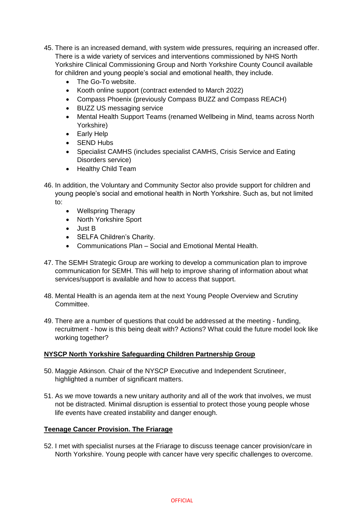- 45. There is an increased demand, with system wide pressures, requiring an increased offer. There is a wide variety of services and interventions commissioned by NHS North Yorkshire Clinical Commissioning Group and North Yorkshire County Council available for children and young people's social and emotional health, they include.
	- The Go-To website.
	- Kooth online support (contract extended to March 2022)
	- Compass Phoenix (previously Compass BUZZ and Compass REACH)
	- BUZZ US messaging service
	- Mental Health Support Teams (renamed Wellbeing in Mind, teams across North Yorkshire)
	- Early Help
	- SEND Hubs
	- Specialist CAMHS (includes specialist CAMHS, Crisis Service and Eating Disorders service)
	- Healthy Child Team
- 46. In addition, the Voluntary and Community Sector also provide support for children and young people's social and emotional health in North Yorkshire. Such as, but not limited to:
	- Wellspring Therapy
	- North Yorkshire Sport
	- Just B
	- SELFA Children's Charity.
	- Communications Plan Social and Emotional Mental Health.
- 47. The SEMH Strategic Group are working to develop a communication plan to improve communication for SEMH. This will help to improve sharing of information about what services/support is available and how to access that support.
- 48. Mental Health is an agenda item at the next Young People Overview and Scrutiny Committee.
- 49. There are a number of questions that could be addressed at the meeting funding, recruitment - how is this being dealt with? Actions? What could the future model look like working together?

### **NYSCP North Yorkshire Safeguarding Children Partnership Group**

- 50. Maggie Atkinson. Chair of the NYSCP Executive and Independent Scrutineer, highlighted a number of significant matters.
- 51. As we move towards a new unitary authority and all of the work that involves, we must not be distracted. Minimal disruption is essential to protect those young people whose life events have created instability and danger enough.

### **Teenage Cancer Provision. The Friarage**

52. I met with specialist nurses at the Friarage to discuss teenage cancer provision/care in North Yorkshire. Young people with cancer have very specific challenges to overcome.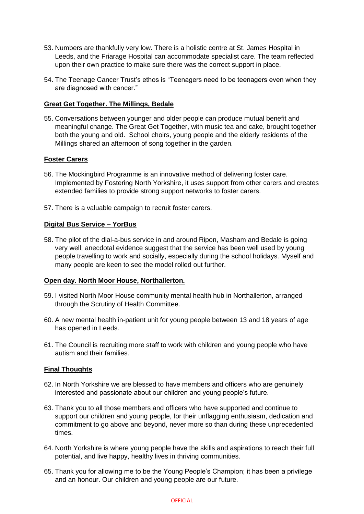- 53. Numbers are thankfully very low. There is a holistic centre at St. James Hospital in Leeds, and the Friarage Hospital can accommodate specialist care. The team reflected upon their own practice to make sure there was the correct support in place.
- 54. The Teenage Cancer Trust's ethos is "Teenagers need to be teenagers even when they are diagnosed with cancer."

### **Great Get Together. The Millings, Bedale**

55. Conversations between younger and older people can produce mutual benefit and meaningful change. The Great Get Together, with music tea and cake, brought together both the young and old. School choirs, young people and the elderly residents of the Millings shared an afternoon of song together in the garden.

# **Foster Carers**

- 56. The Mockingbird Programme is an innovative method of delivering foster care. Implemented by Fostering North Yorkshire, it uses support from other carers and creates extended families to provide strong support networks to foster carers.
- 57. There is a valuable campaign to recruit foster carers.

### **Digital Bus Service – YorBus**

58. The pilot of the dial-a-bus service in and around Ripon, Masham and Bedale is going very well; anecdotal evidence suggest that the service has been well used by young people travelling to work and socially, especially during the school holidays. Myself and many people are keen to see the model rolled out further.

### **Open day. North Moor House, Northallerton.**

- 59. I visited North Moor House community mental health hub in Northallerton, arranged through the Scrutiny of Health Committee.
- 60. A new mental health in-patient unit for young people between 13 and 18 years of age has opened in Leeds.
- 61. The Council is recruiting more staff to work with children and young people who have autism and their families.

### **Final Thoughts**

- 62. In North Yorkshire we are blessed to have members and officers who are genuinely interested and passionate about our children and young people's future.
- 63. Thank you to all those members and officers who have supported and continue to support our children and young people, for their unflagging enthusiasm, dedication and commitment to go above and beyond, never more so than during these unprecedented times.
- 64. North Yorkshire is where young people have the skills and aspirations to reach their full potential, and live happy, healthy lives in thriving communities.
- 65. Thank you for allowing me to be the Young People's Champion; it has been a privilege and an honour. Our children and young people are our future.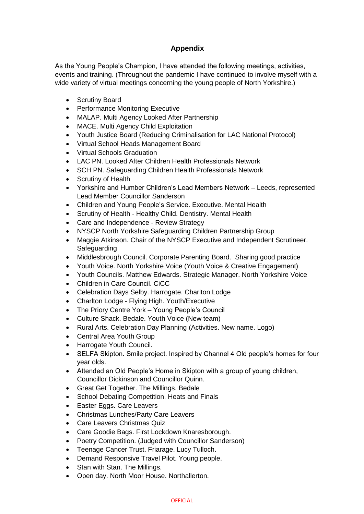# **Appendix**

As the Young People's Champion, I have attended the following meetings, activities, events and training. (Throughout the pandemic I have continued to involve myself with a wide variety of virtual meetings concerning the young people of North Yorkshire.)

- Scrutiny Board
- Performance Monitoring Executive
- MALAP. Multi Agency Looked After Partnership
- MACE. Multi Agency Child Exploitation
- Youth Justice Board (Reducing Criminalisation for LAC National Protocol)
- Virtual School Heads Management Board
- Virtual Schools Graduation
- LAC PN. Looked After Children Health Professionals Network
- SCH PN. Safeguarding Children Health Professionals Network
- Scrutiny of Health
- Yorkshire and Humber Children's Lead Members Network Leeds, represented Lead Member Councillor Sanderson
- Children and Young People's Service. Executive. Mental Health
- Scrutiny of Health Healthy Child. Dentistry. Mental Health
- Care and Independence Review Strategy
- NYSCP North Yorkshire Safeguarding Children Partnership Group
- Maggie Atkinson. Chair of the NYSCP Executive and Independent Scrutineer. Safeguarding
- Middlesbrough Council. Corporate Parenting Board. Sharing good practice
- Youth Voice. North Yorkshire Voice (Youth Voice & Creative Engagement)
- Youth Councils. Matthew Edwards. Strategic Manager. North Yorkshire Voice
- Children in Care Council. CiCC
- Celebration Days Selby. Harrogate. Charlton Lodge
- Charlton Lodge Flying High. Youth/Executive
- The Priory Centre York Young People's Council
- Culture Shack. Bedale. Youth Voice (New team)
- Rural Arts. Celebration Day Planning (Activities. New name. Logo)
- Central Area Youth Group
- Harrogate Youth Council.
- SELFA Skipton. Smile project. Inspired by Channel 4 Old people's homes for four year olds.
- Attended an Old People's Home in Skipton with a group of young children, Councillor Dickinson and Councillor Quinn.
- Great Get Together. The Millings. Bedale
- School Debating Competition. Heats and Finals
- Easter Eggs. Care Leavers
- Christmas Lunches/Party Care Leavers
- Care Leavers Christmas Quiz
- Care Goodie Bags. First Lockdown Knaresborough.
- Poetry Competition. (Judged with Councillor Sanderson)
- Teenage Cancer Trust. Friarage. Lucy Tulloch.
- Demand Responsive Travel Pilot. Young people.
- Stan with Stan. The Millings.
- Open day. North Moor House. Northallerton.